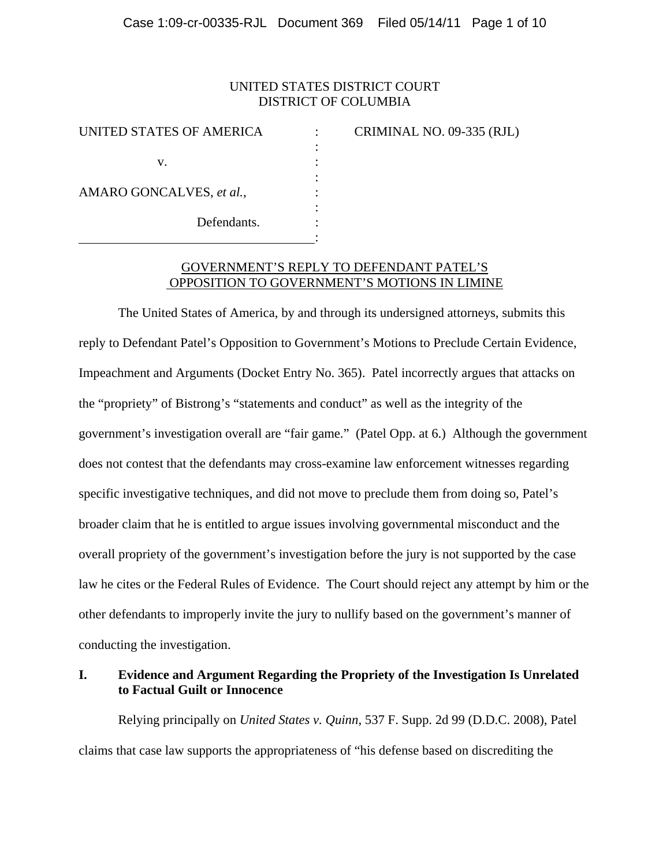## UNITED STATES DISTRICT COURT DISTRICT OF COLUMBIA

| UNITED STATES OF AMERICA | CRIMINAL NO. 09-335 (RJL) |
|--------------------------|---------------------------|
|                          |                           |
| v.                       |                           |
|                          |                           |
| AMARO GONCALVES, et al., |                           |
|                          |                           |
| Defendants.              |                           |
|                          |                           |

## GOVERNMENT'S REPLY TO DEFENDANT PATEL'S OPPOSITION TO GOVERNMENT'S MOTIONS IN LIMINE

 The United States of America, by and through its undersigned attorneys, submits this reply to Defendant Patel's Opposition to Government's Motions to Preclude Certain Evidence, Impeachment and Arguments (Docket Entry No. 365). Patel incorrectly argues that attacks on the "propriety" of Bistrong's "statements and conduct" as well as the integrity of the government's investigation overall are "fair game." (Patel Opp. at 6.) Although the government does not contest that the defendants may cross-examine law enforcement witnesses regarding specific investigative techniques, and did not move to preclude them from doing so, Patel's broader claim that he is entitled to argue issues involving governmental misconduct and the overall propriety of the government's investigation before the jury is not supported by the case law he cites or the Federal Rules of Evidence. The Court should reject any attempt by him or the other defendants to improperly invite the jury to nullify based on the government's manner of conducting the investigation.

# **I. Evidence and Argument Regarding the Propriety of the Investigation Is Unrelated to Factual Guilt or Innocence**

 Relying principally on *United States v. Quinn*, 537 F. Supp. 2d 99 (D.D.C. 2008), Patel claims that case law supports the appropriateness of "his defense based on discrediting the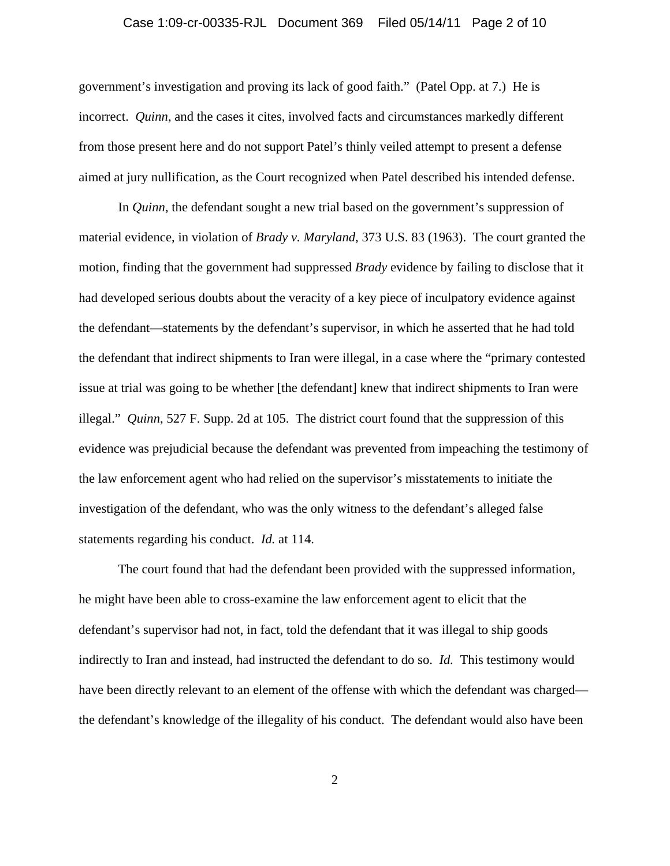#### Case 1:09-cr-00335-RJL Document 369 Filed 05/14/11 Page 2 of 10

government's investigation and proving its lack of good faith." (Patel Opp. at 7.) He is incorrect. *Quinn*, and the cases it cites, involved facts and circumstances markedly different from those present here and do not support Patel's thinly veiled attempt to present a defense aimed at jury nullification, as the Court recognized when Patel described his intended defense.

In *Quinn*, the defendant sought a new trial based on the government's suppression of material evidence, in violation of *Brady v. Maryland*, 373 U.S. 83 (1963). The court granted the motion, finding that the government had suppressed *Brady* evidence by failing to disclose that it had developed serious doubts about the veracity of a key piece of inculpatory evidence against the defendant—statements by the defendant's supervisor, in which he asserted that he had told the defendant that indirect shipments to Iran were illegal, in a case where the "primary contested issue at trial was going to be whether [the defendant] knew that indirect shipments to Iran were illegal." *Quinn*, 527 F. Supp. 2d at 105. The district court found that the suppression of this evidence was prejudicial because the defendant was prevented from impeaching the testimony of the law enforcement agent who had relied on the supervisor's misstatements to initiate the investigation of the defendant, who was the only witness to the defendant's alleged false statements regarding his conduct. *Id.* at 114.

The court found that had the defendant been provided with the suppressed information, he might have been able to cross-examine the law enforcement agent to elicit that the defendant's supervisor had not, in fact, told the defendant that it was illegal to ship goods indirectly to Iran and instead, had instructed the defendant to do so. *Id.* This testimony would have been directly relevant to an element of the offense with which the defendant was charged the defendant's knowledge of the illegality of his conduct. The defendant would also have been

2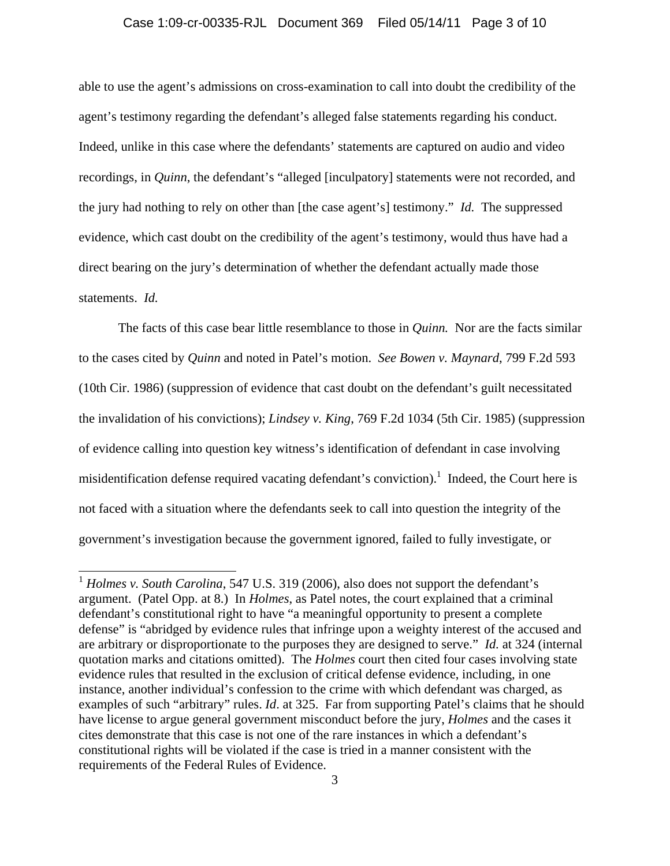#### Case 1:09-cr-00335-RJL Document 369 Filed 05/14/11 Page 3 of 10

able to use the agent's admissions on cross-examination to call into doubt the credibility of the agent's testimony regarding the defendant's alleged false statements regarding his conduct. Indeed, unlike in this case where the defendants' statements are captured on audio and video recordings, in *Quinn*, the defendant's "alleged [inculpatory] statements were not recorded, and the jury had nothing to rely on other than [the case agent's] testimony." *Id.* The suppressed evidence, which cast doubt on the credibility of the agent's testimony, would thus have had a direct bearing on the jury's determination of whether the defendant actually made those statements. *Id.*

The facts of this case bear little resemblance to those in *Quinn.* Nor are the facts similar to the cases cited by *Quinn* and noted in Patel's motion. *See Bowen v. Maynard*, 799 F.2d 593 (10th Cir. 1986) (suppression of evidence that cast doubt on the defendant's guilt necessitated the invalidation of his convictions); *Lindsey v. King*, 769 F.2d 1034 (5th Cir. 1985) (suppression of evidence calling into question key witness's identification of defendant in case involving misidentification defense required vacating defendant's conviction).<sup>1</sup> Indeed, the Court here is not faced with a situation where the defendants seek to call into question the integrity of the government's investigation because the government ignored, failed to fully investigate, or

 $\overline{a}$ 

<sup>&</sup>lt;sup>1</sup> *Holmes v. South Carolina*, 547 U.S. 319 (2006), also does not support the defendant's argument. (Patel Opp. at 8.) In *Holmes*, as Patel notes, the court explained that a criminal defendant's constitutional right to have "a meaningful opportunity to present a complete defense" is "abridged by evidence rules that infringe upon a weighty interest of the accused and are arbitrary or disproportionate to the purposes they are designed to serve." *Id.* at 324 (internal quotation marks and citations omitted). The *Holmes* court then cited four cases involving state evidence rules that resulted in the exclusion of critical defense evidence, including, in one instance, another individual's confession to the crime with which defendant was charged, as examples of such "arbitrary" rules. *Id*. at 325. Far from supporting Patel's claims that he should have license to argue general government misconduct before the jury, *Holmes* and the cases it cites demonstrate that this case is not one of the rare instances in which a defendant's constitutional rights will be violated if the case is tried in a manner consistent with the requirements of the Federal Rules of Evidence.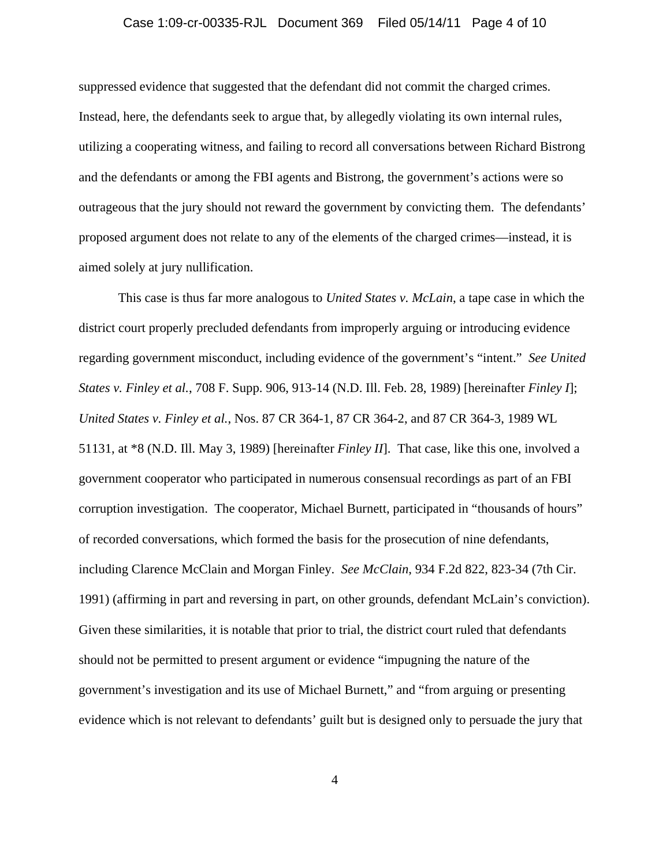#### Case 1:09-cr-00335-RJL Document 369 Filed 05/14/11 Page 4 of 10

suppressed evidence that suggested that the defendant did not commit the charged crimes. Instead, here, the defendants seek to argue that, by allegedly violating its own internal rules, utilizing a cooperating witness, and failing to record all conversations between Richard Bistrong and the defendants or among the FBI agents and Bistrong, the government's actions were so outrageous that the jury should not reward the government by convicting them. The defendants' proposed argument does not relate to any of the elements of the charged crimes—instead, it is aimed solely at jury nullification.

This case is thus far more analogous to *United States v. McLain*, a tape case in which the district court properly precluded defendants from improperly arguing or introducing evidence regarding government misconduct, including evidence of the government's "intent." *See United States v. Finley et al.*, 708 F. Supp. 906, 913-14 (N.D. Ill. Feb. 28, 1989) [hereinafter *Finley I*]; *United States v. Finley et al.*, Nos. 87 CR 364-1, 87 CR 364-2, and 87 CR 364-3, 1989 WL 51131, at \*8 (N.D. Ill. May 3, 1989) [hereinafter *Finley II*]. That case, like this one, involved a government cooperator who participated in numerous consensual recordings as part of an FBI corruption investigation. The cooperator, Michael Burnett, participated in "thousands of hours" of recorded conversations, which formed the basis for the prosecution of nine defendants, including Clarence McClain and Morgan Finley. *See McClain*, 934 F.2d 822, 823-34 (7th Cir. 1991) (affirming in part and reversing in part, on other grounds, defendant McLain's conviction). Given these similarities, it is notable that prior to trial, the district court ruled that defendants should not be permitted to present argument or evidence "impugning the nature of the government's investigation and its use of Michael Burnett," and "from arguing or presenting evidence which is not relevant to defendants' guilt but is designed only to persuade the jury that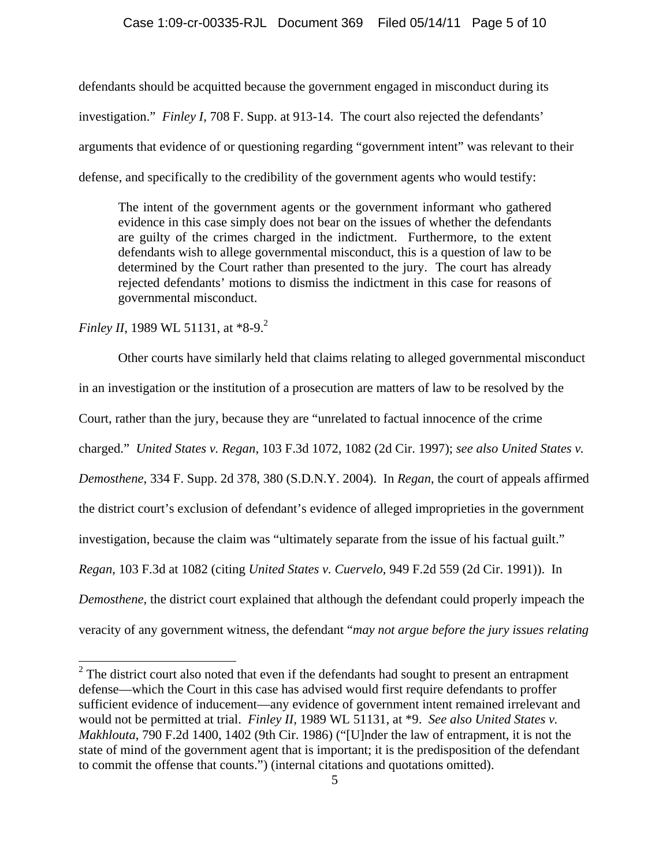defendants should be acquitted because the government engaged in misconduct during its investigation." *Finley I*, 708 F. Supp. at 913-14. The court also rejected the defendants' arguments that evidence of or questioning regarding "government intent" was relevant to their defense, and specifically to the credibility of the government agents who would testify:

The intent of the government agents or the government informant who gathered evidence in this case simply does not bear on the issues of whether the defendants are guilty of the crimes charged in the indictment. Furthermore, to the extent defendants wish to allege governmental misconduct, this is a question of law to be determined by the Court rather than presented to the jury. The court has already rejected defendants' motions to dismiss the indictment in this case for reasons of governmental misconduct.

*Finley II*, 1989 WL 51131, at \*8-9.<sup>2</sup>

 $\overline{a}$ 

 Other courts have similarly held that claims relating to alleged governmental misconduct in an investigation or the institution of a prosecution are matters of law to be resolved by the Court, rather than the jury, because they are "unrelated to factual innocence of the crime charged." *United States v. Regan*, 103 F.3d 1072, 1082 (2d Cir. 1997); *see also United States v. Demosthene*, 334 F. Supp. 2d 378, 380 (S.D.N.Y. 2004). In *Regan*, the court of appeals affirmed the district court's exclusion of defendant's evidence of alleged improprieties in the government investigation, because the claim was "ultimately separate from the issue of his factual guilt." *Regan*, 103 F.3d at 1082 (citing *United States v. Cuervelo*, 949 F.2d 559 (2d Cir. 1991)). In *Demosthene*, the district court explained that although the defendant could properly impeach the veracity of any government witness, the defendant "*may not argue before the jury issues relating* 

 $2^2$  The district court also noted that even if the defendants had sought to present an entrapment defense—which the Court in this case has advised would first require defendants to proffer sufficient evidence of inducement—any evidence of government intent remained irrelevant and would not be permitted at trial. *Finley II*, 1989 WL 51131, at \*9. *See also United States v. Makhlouta*, 790 F.2d 1400, 1402 (9th Cir. 1986) ("[U]nder the law of entrapment, it is not the state of mind of the government agent that is important; it is the predisposition of the defendant to commit the offense that counts.") (internal citations and quotations omitted).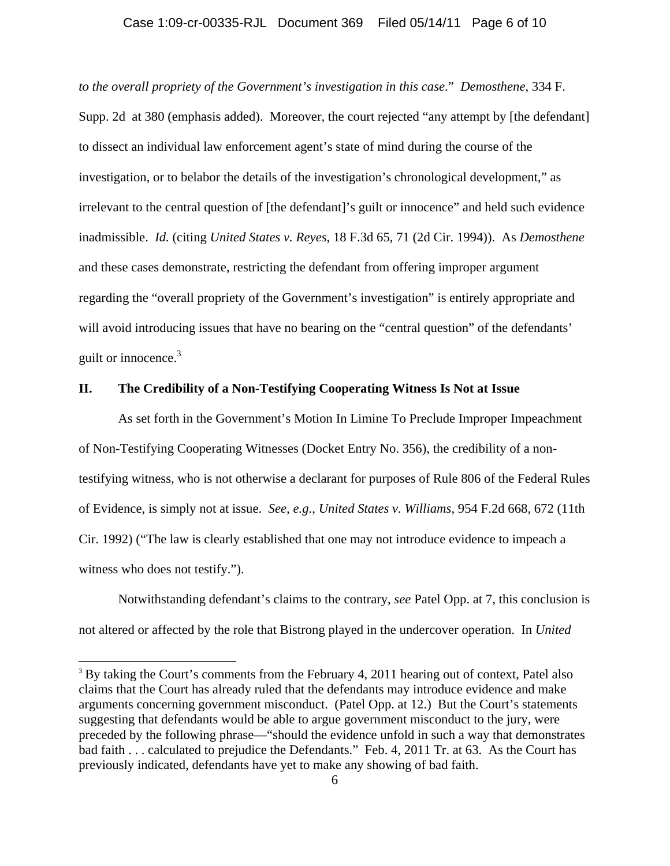#### Case 1:09-cr-00335-RJL Document 369 Filed 05/14/11 Page 6 of 10

*to the overall propriety of the Government's investigation in this case*." *Demosthene*, 334 F. Supp. 2d at 380 (emphasis added). Moreover, the court rejected "any attempt by [the defendant] to dissect an individual law enforcement agent's state of mind during the course of the investigation, or to belabor the details of the investigation's chronological development," as irrelevant to the central question of [the defendant]'s guilt or innocence" and held such evidence inadmissible. *Id.* (citing *United States v. Reyes*, 18 F.3d 65, 71 (2d Cir. 1994)). As *Demosthene*  and these cases demonstrate, restricting the defendant from offering improper argument regarding the "overall propriety of the Government's investigation" is entirely appropriate and will avoid introducing issues that have no bearing on the "central question" of the defendants' guilt or innocence.<sup>3</sup>

#### **II. The Credibility of a Non-Testifying Cooperating Witness Is Not at Issue**

 As set forth in the Government's Motion In Limine To Preclude Improper Impeachment of Non-Testifying Cooperating Witnesses (Docket Entry No. 356), the credibility of a nontestifying witness, who is not otherwise a declarant for purposes of Rule 806 of the Federal Rules of Evidence, is simply not at issue. *See, e.g.*, *United States v. Williams*, 954 F.2d 668, 672 (11th Cir. 1992) ("The law is clearly established that one may not introduce evidence to impeach a witness who does not testify.").

 Notwithstanding defendant's claims to the contrary, *see* Patel Opp. at 7, this conclusion is not altered or affected by the role that Bistrong played in the undercover operation. In *United* 

 $\overline{a}$ 

<sup>&</sup>lt;sup>3</sup> By taking the Court's comments from the February 4, 2011 hearing out of context, Patel also claims that the Court has already ruled that the defendants may introduce evidence and make arguments concerning government misconduct. (Patel Opp. at 12.) But the Court's statements suggesting that defendants would be able to argue government misconduct to the jury, were preceded by the following phrase—"should the evidence unfold in such a way that demonstrates bad faith . . . calculated to prejudice the Defendants." Feb. 4, 2011 Tr. at 63. As the Court has previously indicated, defendants have yet to make any showing of bad faith.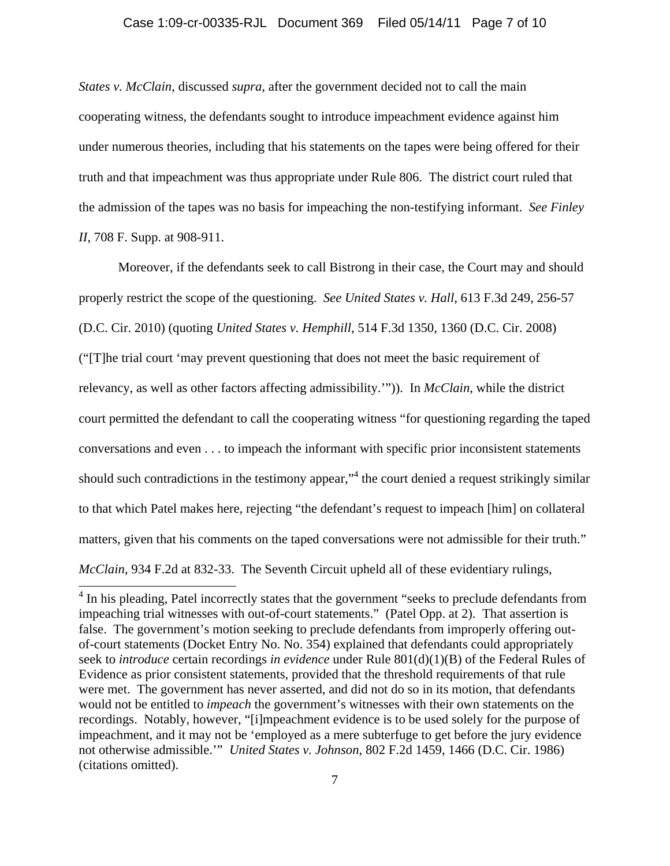*States v. McClain*, discussed *supra*, after the government decided not to call the main cooperating witness, the defendants sought to introduce impeachment evidence against him under numerous theories, including that his statements on the tapes were being offered for their truth and that impeachment was thus appropriate under Rule 806. The district court ruled that the admission of the tapes was no basis for impeaching the non-testifying informant. *See Finley II*, 708 F. Supp. at 908-911.

 Moreover, if the defendants seek to call Bistrong in their case, the Court may and should properly restrict the scope of the questioning. *See United States v. Hall*, 613 F.3d 249, 256-57 (D.C. Cir. 2010) (quoting *United States v. Hemphill*, 514 F.3d 1350, 1360 (D.C. Cir. 2008) ("[T]he trial court 'may prevent questioning that does not meet the basic requirement of relevancy, as well as other factors affecting admissibility.'")). In *McClain*, while the district court permitted the defendant to call the cooperating witness "for questioning regarding the taped conversations and even . . . to impeach the informant with specific prior inconsistent statements should such contradictions in the testimony appear,"<sup>4</sup> the court denied a request strikingly similar to that which Patel makes here, rejecting "the defendant's request to impeach [him] on collateral matters, given that his comments on the taped conversations were not admissible for their truth." *McClain*, 934 F.2d at 832-33. The Seventh Circuit upheld all of these evidentiary rulings,

 $\overline{a}$ 

<sup>&</sup>lt;sup>4</sup> In his pleading, Patel incorrectly states that the government "seeks to preclude defendants from impeaching trial witnesses with out-of-court statements." (Patel Opp. at 2). That assertion is false. The government's motion seeking to preclude defendants from improperly offering outof-court statements (Docket Entry No. No. 354) explained that defendants could appropriately seek to *introduce* certain recordings *in evidence* under Rule 801(d)(1)(B) of the Federal Rules of Evidence as prior consistent statements, provided that the threshold requirements of that rule were met. The government has never asserted, and did not do so in its motion, that defendants would not be entitled to *impeach* the government's witnesses with their own statements on the recordings. Notably, however, "[i]mpeachment evidence is to be used solely for the purpose of impeachment, and it may not be 'employed as a mere subterfuge to get before the jury evidence not otherwise admissible.'" *United States v. Johnson*, 802 F.2d 1459, 1466 (D.C. Cir. 1986) (citations omitted).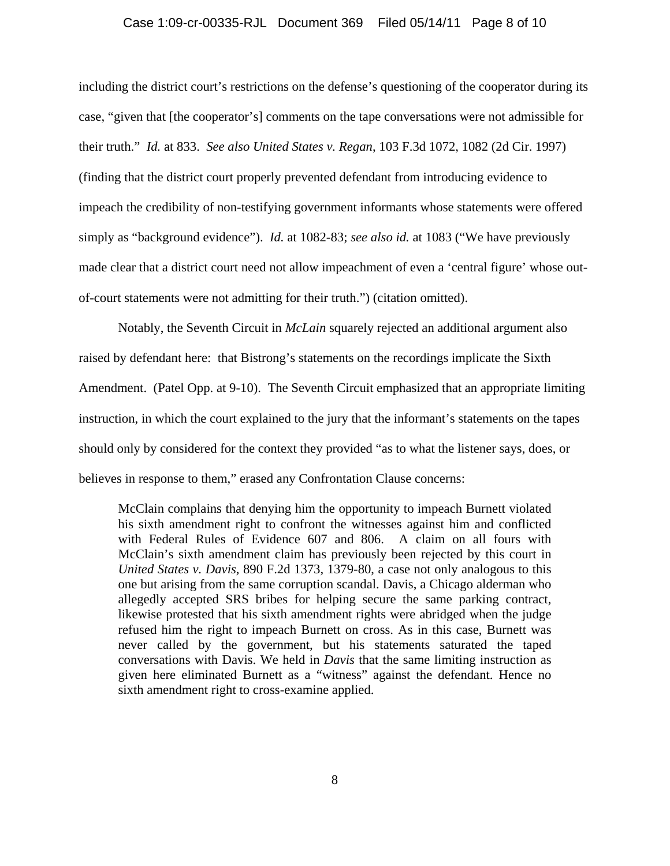#### Case 1:09-cr-00335-RJL Document 369 Filed 05/14/11 Page 8 of 10

including the district court's restrictions on the defense's questioning of the cooperator during its case, "given that [the cooperator's] comments on the tape conversations were not admissible for their truth." *Id.* at 833. *See also United States v. Regan*, 103 F.3d 1072, 1082 (2d Cir. 1997) (finding that the district court properly prevented defendant from introducing evidence to impeach the credibility of non-testifying government informants whose statements were offered simply as "background evidence"). *Id.* at 1082-83; *see also id.* at 1083 ("We have previously made clear that a district court need not allow impeachment of even a 'central figure' whose outof-court statements were not admitting for their truth.") (citation omitted).

Notably, the Seventh Circuit in *McLain* squarely rejected an additional argument also raised by defendant here: that Bistrong's statements on the recordings implicate the Sixth Amendment. (Patel Opp. at 9-10). The Seventh Circuit emphasized that an appropriate limiting instruction, in which the court explained to the jury that the informant's statements on the tapes should only by considered for the context they provided "as to what the listener says, does, or believes in response to them," erased any Confrontation Clause concerns:

McClain complains that denying him the opportunity to impeach Burnett violated his sixth amendment right to confront the witnesses against him and conflicted with Federal Rules of Evidence 607 and 806. A claim on all fours with McClain's sixth amendment claim has previously been rejected by this court in *United States v. Davis*, 890 F.2d 1373, 1379-80, a case not only analogous to this one but arising from the same corruption scandal. Davis, a Chicago alderman who allegedly accepted SRS bribes for helping secure the same parking contract, likewise protested that his sixth amendment rights were abridged when the judge refused him the right to impeach Burnett on cross. As in this case, Burnett was never called by the government, but his statements saturated the taped conversations with Davis. We held in *Davis* that the same limiting instruction as given here eliminated Burnett as a "witness" against the defendant. Hence no sixth amendment right to cross-examine applied.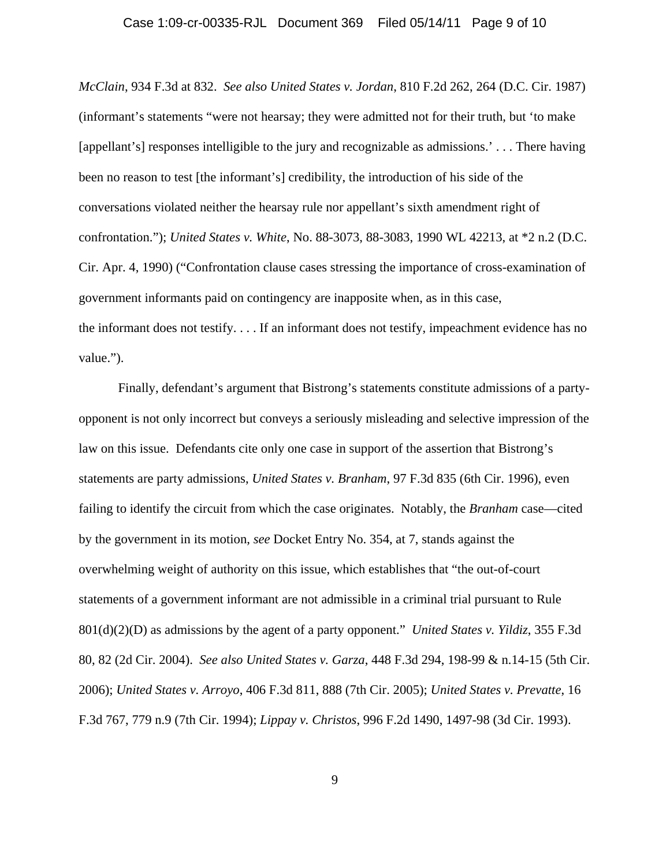*McClain*, 934 F.3d at 832. *See also United States v. Jordan*, 810 F.2d 262, 264 (D.C. Cir. 1987) (informant's statements "were not hearsay; they were admitted not for their truth, but 'to make [appellant's] responses intelligible to the jury and recognizable as admissions.' . . . There having been no reason to test [the informant's] credibility, the introduction of his side of the conversations violated neither the hearsay rule nor appellant's sixth amendment right of confrontation."); *United States v. White*, No. 88-3073, 88-3083, 1990 WL 42213, at \*2 n.2 (D.C. Cir. Apr. 4, 1990) ("Confrontation clause cases stressing the importance of cross-examination of government informants paid on contingency are inapposite when, as in this case, the informant does not testify. . . . If an informant does not testify, impeachment evidence has no value.").

 Finally, defendant's argument that Bistrong's statements constitute admissions of a partyopponent is not only incorrect but conveys a seriously misleading and selective impression of the law on this issue. Defendants cite only one case in support of the assertion that Bistrong's statements are party admissions, *United States v. Branham*, 97 F.3d 835 (6th Cir. 1996), even failing to identify the circuit from which the case originates. Notably, the *Branham* case—cited by the government in its motion, *see* Docket Entry No. 354, at 7, stands against the overwhelming weight of authority on this issue, which establishes that "the out-of-court statements of a government informant are not admissible in a criminal trial pursuant to Rule 801(d)(2)(D) as admissions by the agent of a party opponent." *United States v. Yildiz*, 355 F.3d 80, 82 (2d Cir. 2004). *See also United States v. Garza*, 448 F.3d 294, 198-99 & n.14-15 (5th Cir. 2006); *United States v. Arroyo*, 406 F.3d 811, 888 (7th Cir. 2005); *United States v. Prevatte*, 16 F.3d 767, 779 n.9 (7th Cir. 1994); *Lippay v. Christos*, 996 F.2d 1490, 1497-98 (3d Cir. 1993).

9